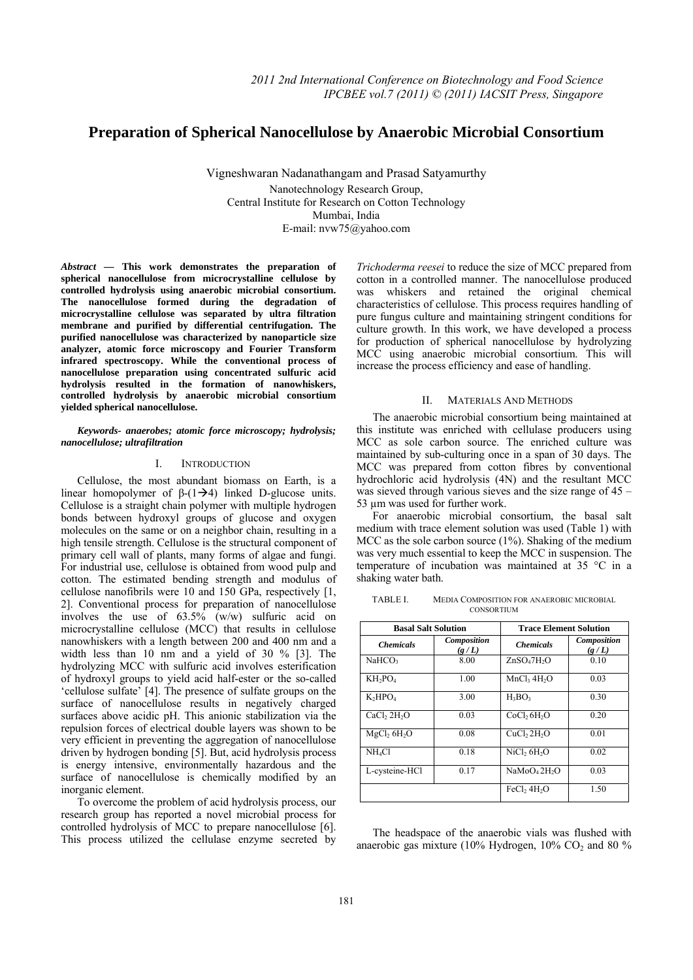# **Preparation of Spherical Nanocellulose by Anaerobic Microbial Consortium**

Vigneshwaran Nadanathangam and Prasad Satyamurthy Nanotechnology Research Group, Central Institute for Research on Cotton Technology Mumbai, India E-mail: nvw75@yahoo.com

*Abstract* **— This work demonstrates the preparation of spherical nanocellulose from microcrystalline cellulose by controlled hydrolysis using anaerobic microbial consortium. The nanocellulose formed during the degradation of microcrystalline cellulose was separated by ultra filtration membrane and purified by differential centrifugation. The purified nanocellulose was characterized by nanoparticle size analyzer, atomic force microscopy and Fourier Transform infrared spectroscopy. While the conventional process of nanocellulose preparation using concentrated sulfuric acid hydrolysis resulted in the formation of nanowhiskers, controlled hydrolysis by anaerobic microbial consortium yielded spherical nanocellulose.** 

## *Keywords- anaerobes; atomic force microscopy; hydrolysis; nanocellulose; ultrafiltration*

# I. INTRODUCTION

Cellulose, the most abundant biomass on Earth, is a linear homopolymer of  $\beta$ -(1→4) linked D-glucose units. Cellulose is a straight chain polymer with multiple hydrogen bonds between hydroxyl groups of glucose and oxygen molecules on the same or on a neighbor chain, resulting in a high tensile strength. Cellulose is the structural component of primary cell wall of plants, many forms of algae and fungi. For industrial use, cellulose is obtained from wood pulp and cotton. The estimated bending strength and modulus of cellulose nanofibrils were 10 and 150 GPa, respectively [1, 2]. Conventional process for preparation of nanocellulose involves the use of 63.5% (w/w) sulfuric acid on microcrystalline cellulose (MCC) that results in cellulose nanowhiskers with a length between 200 and 400 nm and a width less than 10 nm and a yield of 30 % [3]. The hydrolyzing MCC with sulfuric acid involves esterification of hydroxyl groups to yield acid half-ester or the so-called 'cellulose sulfate' [4]. The presence of sulfate groups on the surface of nanocellulose results in negatively charged surfaces above acidic pH. This anionic stabilization via the repulsion forces of electrical double layers was shown to be very efficient in preventing the aggregation of nanocellulose driven by hydrogen bonding [5]. But, acid hydrolysis process is energy intensive, environmentally hazardous and the surface of nanocellulose is chemically modified by an inorganic element.

To overcome the problem of acid hydrolysis process, our research group has reported a novel microbial process for controlled hydrolysis of MCC to prepare nanocellulose [6]. This process utilized the cellulase enzyme secreted by

*Trichoderma reesei* to reduce the size of MCC prepared from cotton in a controlled manner. The nanocellulose produced was whiskers and retained the original chemical characteristics of cellulose. This process requires handling of pure fungus culture and maintaining stringent conditions for culture growth. In this work, we have developed a process for production of spherical nanocellulose by hydrolyzing MCC using anaerobic microbial consortium. This will increase the process efficiency and ease of handling.

#### II. MATERIALS AND METHODS

The anaerobic microbial consortium being maintained at this institute was enriched with cellulase producers using MCC as sole carbon source. The enriched culture was maintained by sub-culturing once in a span of 30 days. The MCC was prepared from cotton fibres by conventional hydrochloric acid hydrolysis (4N) and the resultant MCC was sieved through various sieves and the size range of 45 – 53 µm was used for further work.

For anaerobic microbial consortium, the basal salt medium with trace element solution was used (Table 1) with MCC as the sole carbon source (1%). Shaking of the medium was very much essential to keep the MCC in suspension. The temperature of incubation was maintained at 35 °C in a shaking water bath.

TABLE I. MEDIA COMPOSITION FOR ANAEROBIC MICROBIAL **CONSORTIUM** 

| <b>Basal Salt Solution</b>          |                             | <b>Trace Element Solution</b>        |                      |
|-------------------------------------|-----------------------------|--------------------------------------|----------------------|
| <b>Chemicals</b>                    | <b>Composition</b><br>(g/L) | <b>Chemicals</b>                     | Composition<br>(g/L) |
| NaHCO <sub>3</sub>                  | 8.00                        | ZnSO <sub>4</sub> 7H <sub>2</sub> O  | 0.10                 |
| $KH_2PO_4$                          | 1.00                        | MnCl <sub>3</sub> 4H <sub>2</sub> O  | 0.03                 |
| $K_2HPO4$                           | 3.00                        | $H_3BO_3$                            | 0.30                 |
| CaCl <sub>2</sub> 2H <sub>2</sub> O | 0.03                        | CoCl <sub>2</sub> 6H <sub>2</sub> O  | 0.20                 |
| MgCl <sub>2</sub> 6H <sub>2</sub> O | 0.08                        | CuCl <sub>2</sub> 2H <sub>2</sub> O  | 0.01                 |
| NH <sub>4</sub> Cl                  | 0.18                        | NiCl <sub>2</sub> 6H <sub>2</sub> O  | 0.02                 |
| L-cysteine-HCl                      | 0.17                        | NaMoO <sub>4</sub> 2H <sub>2</sub> O | 0.03                 |
|                                     |                             | FeCl <sub>2</sub> 4H <sub>2</sub> O  | 1.50                 |

The headspace of the anaerobic vials was flushed with anaerobic gas mixture (10% Hydrogen,  $10\%$  CO<sub>2</sub> and 80 %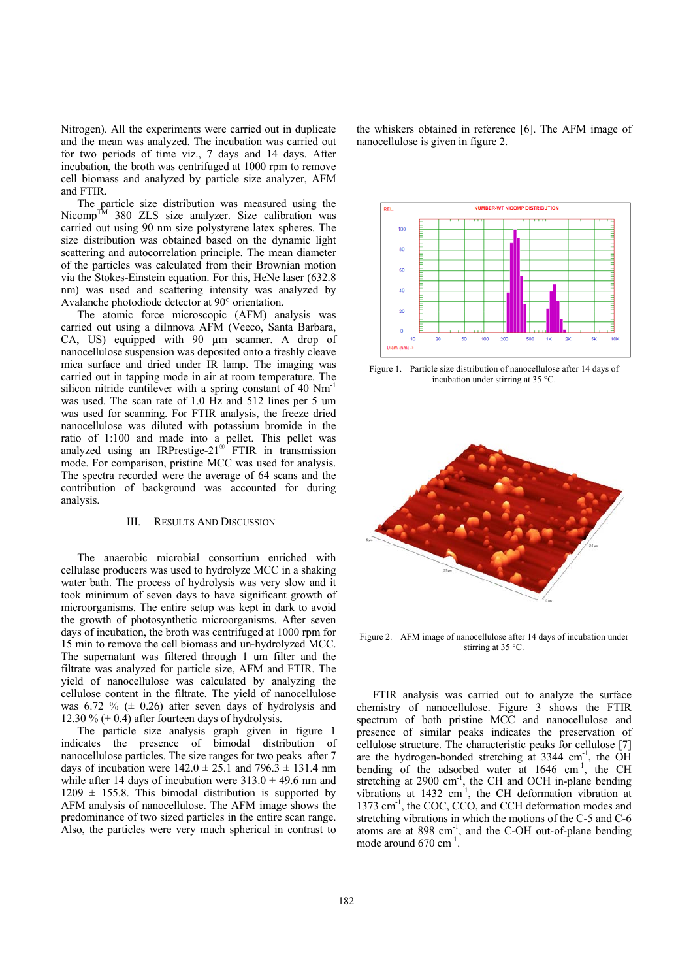Nitrogen). All the experiments were carried out in duplicate and the mean was analyzed. The incubation was carried out for two periods of time viz., 7 days and 14 days. After incubation, the broth was centrifuged at 1000 rpm to remove cell biomass and analyzed by particle size analyzer, AFM and FTIR.

The particle size distribution was measured using the Nicomp<sup>TM</sup> 380 ZLS size analyzer. Size calibration was carried out using 90 nm size polystyrene latex spheres. The size distribution was obtained based on the dynamic light scattering and autocorrelation principle. The mean diameter of the particles was calculated from their Brownian motion via the Stokes-Einstein equation. For this, HeNe laser (632.8 nm) was used and scattering intensity was analyzed by Avalanche photodiode detector at 90° orientation.

The atomic force microscopic (AFM) analysis was carried out using a diInnova AFM (Veeco, Santa Barbara, CA, US) equipped with 90 µm scanner. A drop of nanocellulose suspension was deposited onto a freshly cleave mica surface and dried under IR lamp. The imaging was carried out in tapping mode in air at room temperature. The silicon nitride cantilever with a spring constant of 40 Nm<sup>-1</sup> was used. The scan rate of 1.0 Hz and 512 lines per 5 um was used for scanning. For FTIR analysis, the freeze dried nanocellulose was diluted with potassium bromide in the ratio of 1:100 and made into a pellet. This pellet was analyzed using an IRPrestige- $21^{\circ}$  FTIR in transmission mode. For comparison, pristine MCC was used for analysis. The spectra recorded were the average of 64 scans and the contribution of background was accounted for during analysis.

#### III. RESULTS AND DISCUSSION

The anaerobic microbial consortium enriched with cellulase producers was used to hydrolyze MCC in a shaking water bath. The process of hydrolysis was very slow and it took minimum of seven days to have significant growth of microorganisms. The entire setup was kept in dark to avoid the growth of photosynthetic microorganisms. After seven days of incubation, the broth was centrifuged at 1000 rpm for 15 min to remove the cell biomass and un-hydrolyzed MCC. The supernatant was filtered through 1 um filter and the filtrate was analyzed for particle size, AFM and FTIR. The yield of nanocellulose was calculated by analyzing the cellulose content in the filtrate. The yield of nanocellulose was 6.72 %  $(± 0.26)$  after seven days of hydrolysis and 12.30 %  $(\pm 0.4)$  after fourteen days of hydrolysis.

The particle size analysis graph given in figure 1 indicates the presence of bimodal distribution of nanocellulose particles. The size ranges for two peaks after 7 days of incubation were  $142.0 \pm 25.1$  and  $796.3 \pm 131.4$  nm while after 14 days of incubation were  $313.0 \pm 49.6$  nm and  $1209 \pm 155.8$ . This bimodal distribution is supported by AFM analysis of nanocellulose. The AFM image shows the predominance of two sized particles in the entire scan range. Also, the particles were very much spherical in contrast to

the whiskers obtained in reference [6]. The AFM image of nanocellulose is given in figure 2.



Figure 1. Particle size distribution of nanocellulose after 14 days of incubation under stirring at 35 °C.



Figure 2. AFM image of nanocellulose after 14 days of incubation under stirring at 35 °C.

FTIR analysis was carried out to analyze the surface chemistry of nanocellulose. Figure 3 shows the FTIR spectrum of both pristine MCC and nanocellulose and presence of similar peaks indicates the preservation of cellulose structure. The characteristic peaks for cellulose [7] are the hydrogen-bonded stretching at  $3344 \text{ cm}^{-1}$ , the  $\overrightarrow{OH}$ bending of the adsorbed water at 1646 cm<sup>-1</sup>, the CH stretching at  $2900 \text{ cm}^{-1}$ , the CH and OCH in-plane bending vibrations at  $1432 \text{ cm}^{-1}$ , the CH deformation vibration at 1373 cm<sup>-1</sup>, the COC, CCO, and CCH deformation modes and stretching vibrations in which the motions of the C-5 and C-6 atoms are at  $898 \text{ cm}^{-1}$ , and the C-OH out-of-plane bending mode around 670 cm<sup>-1</sup>.